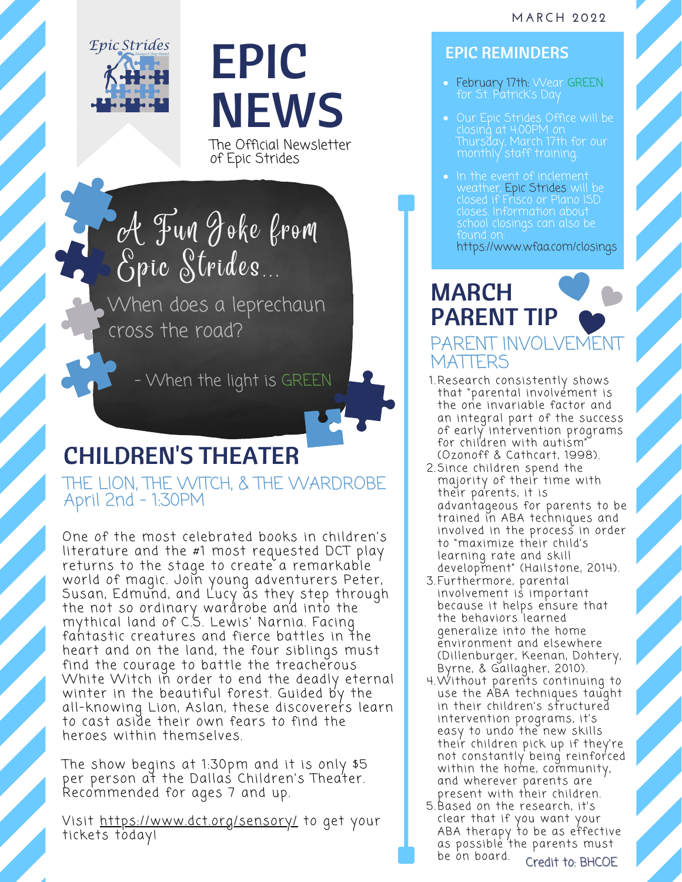

## EPIC **NEWS**

The Official Newsletter of Epic Strides

A Fun Joke from Epic Strides.

When does a leprechaun cross the road?

- When the light is GREEN

## CHILDREN'S THEATER

THE LION, THE WITCH, & THE WARDROBE April 2nd - 1:30PM

One of the most celebrated books in children's literature and the #1 most requested DCT play returns to the stage to create a remarkable world of magic. Join young adventurers Peter, Susan, Edmund, and Lucy as they step through the not so ordinary wardrobe and into the mythical land of C.S. Lewis' Narnia. Facing fahtastic creatures and fierce battles in the heart and on the land, the four siblings must find the courage to battle the treacherous White Witch in order to end the deadly eternal winter in the beautiful forest. Guided by the all-knowing Lion, Aslan, these discoverers learn to cast aside their own fears to find the heroes within themselves.

The show begins at 1:30pm and it is only \$5 per person at the Dallas Children's Theater. Recommended for ages 7 and up.

Visit <https://www.dct.org/sensory/> to get your tickets today!

## EPIC REMINDERS

- February 17th: Wear GREEN for St. Patrick's Day
- Our Epic Strides Office will be closing at 4:00PM on Thursday, March 17th for our
- In the event of inclement weather, Epic Strides will be closed if Frisco or Plano ISD closes. Information about school closings can also be found on: <https://www.wfaa.com/closings>

## MARCH PARENT TIP PARENT INVOLVEI **MATTERS**

- 1.[Research](https://pubmed.ncbi.nlm.nih.gov/9546299/) consistently shows that "parental involvement is the one invariable factor and an integral part of the success of early intervention programs for children with autism" (Ozonoff & Cathcart, 1998).
- 2.Since children spend the majority of their time with their parents, it is advantageous for parents to be trained in ABA techniques and involved in the process in order to "maximize their child's learning rate and skill development" (Hailstone, 2014).
- 3.Furthermore, parental involvement is important because it helps ensure that the behaviors learned generalize into the home environment and elsewhere (Dillenburger, Keenan, Dohtery, Byrne, & Gallagher, 2010).
- Without parents continuing to 4. use the ABA techniques taught in their children's structured intervention programs, it's easy to undo the new skills their children pick up if they're not constantly being reinforced within the home, community, and wherever parents are present with their children.
- Based on the research, it's 5. clear that if you want your ABA therapy to be as effective as possible the parents must be on board. Credit to: BHCOE